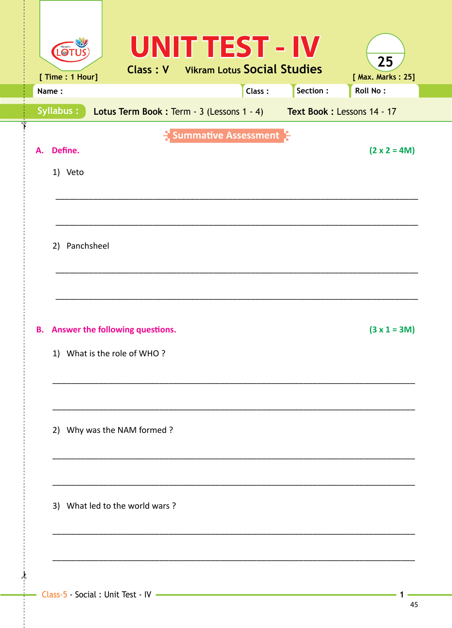|    | LOT<br>[ Time : 1 Hour]                                        |  |  |  |                                                                      | <b>UNIT TEST - IV</b><br><b>Class: V</b> Vikram Lotus Social Studies |  |          | 25<br>[ Max. Marks: 25] |
|----|----------------------------------------------------------------|--|--|--|----------------------------------------------------------------------|----------------------------------------------------------------------|--|----------|-------------------------|
|    | Name:                                                          |  |  |  |                                                                      | Class:                                                               |  | Section: | <b>Roll No:</b>         |
|    | Syllabus:                                                      |  |  |  | Lotus Term Book: Term - 3 (Lessons 1 - 4) Text Book: Lessons 14 - 17 |                                                                      |  |          |                         |
| А. | Define.<br>1) Veto                                             |  |  |  |                                                                      | Summative Assessment                                                 |  |          | $(2 \times 2 = 4M)$     |
|    | 2) Panchsheel                                                  |  |  |  |                                                                      |                                                                      |  |          |                         |
| В. | Answer the following questions.<br>1) What is the role of WHO? |  |  |  |                                                                      |                                                                      |  |          | $(3 x 1 = 3M)$          |
|    | 2) Why was the NAM formed ?                                    |  |  |  |                                                                      |                                                                      |  |          |                         |
|    | 3) What led to the world wars?                                 |  |  |  |                                                                      |                                                                      |  |          |                         |
|    |                                                                |  |  |  |                                                                      |                                                                      |  |          |                         |

∦

 $\mathbf 1$